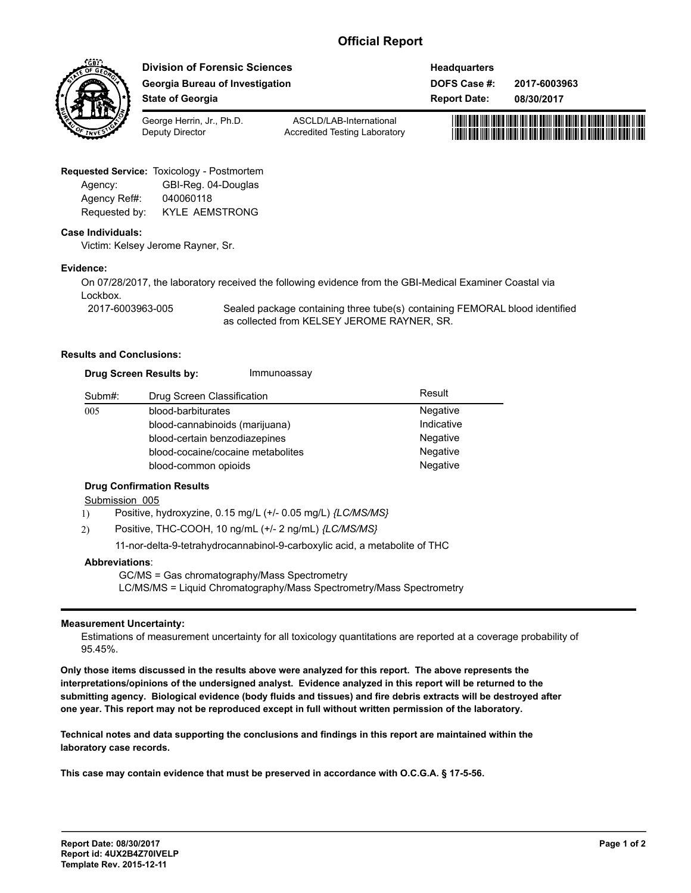# **Official Report**



**Division of Forensic Sciences Georgia Bureau of Investigation State of Georgia**

**DOFS Case #: Report Date: Headquarters 2017-6003963**

**08/30/2017**



George Herrin, Jr., Ph.D. Deputy Director

ASCLD/LAB-International Accredited Testing Laboratory

## **Requested Service:** Toxicology - Postmortem

| Agency:       | GBI-Reg. 04-Douglas   |
|---------------|-----------------------|
| Agency Ref#:  | 040060118             |
| Requested by: | <b>KYLE AEMSTRONG</b> |

#### **Case Individuals:**

Victim: Kelsey Jerome Rayner, Sr.

#### **Evidence:**

On 07/28/2017, the laboratory received the following evidence from the GBI-Medical Examiner Coastal via Lockbox. 2017-6003963-005

Sealed package containing three tube(s) containing FEMORAL blood identified as collected from KELSEY JEROME RAYNER, SR.

#### **Results and Conclusions:**

| <b>Drug Screen Results by:</b> | Immunoassay |
|--------------------------------|-------------|
|                                |             |

| Subm#: | Drug Screen Classification        | Result     |
|--------|-----------------------------------|------------|
| 005    | blood-barbiturates                | Negative   |
|        | blood-cannabinoids (marijuana)    | Indicative |
|        | blood-certain benzodiazepines     | Negative   |
|        | blood-cocaine/cocaine metabolites | Negative   |
|        | blood-common opioids              | Negative   |

## **Drug Confirmation Results**

#### Submission 005

1) Positive, hydroxyzine, 0.15 mg/L (+/- 0.05 mg/L) *{LC/MS/MS}*

2) Positive, THC-COOH, 10 ng/mL (+/- 2 ng/mL) *{LC/MS/MS}*

11-nor-delta-9-tetrahydrocannabinol-9-carboxylic acid, a metabolite of THC

#### **Abbreviations**:

GC/MS = Gas chromatography/Mass Spectrometry LC/MS/MS = Liquid Chromatography/Mass Spectrometry/Mass Spectrometry

## **Measurement Uncertainty:**

Estimations of measurement uncertainty for all toxicology quantitations are reported at a coverage probability of 95.45%.

**Only those items discussed in the results above were analyzed for this report. The above represents the interpretations/opinions of the undersigned analyst. Evidence analyzed in this report will be returned to the submitting agency. Biological evidence (body fluids and tissues) and fire debris extracts will be destroyed after one year. This report may not be reproduced except in full without written permission of the laboratory.**

**Technical notes and data supporting the conclusions and findings in this report are maintained within the laboratory case records.** 

**This case may contain evidence that must be preserved in accordance with O.C.G.A. § 17-5-56.**